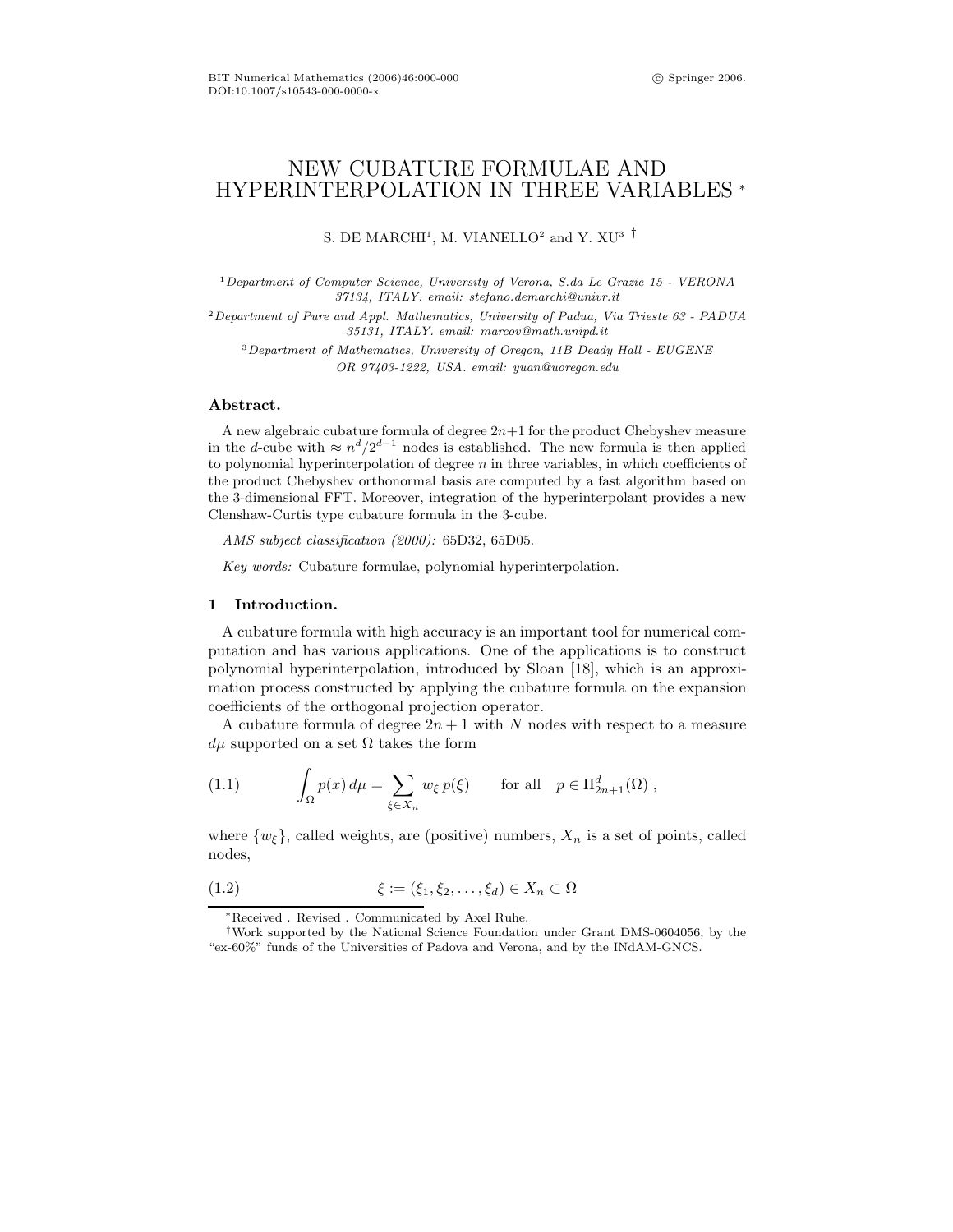# NEW CUBATURE FORMULAE AND HYPERINTERPOLATION IN THREE VARIABLES <sup>∗</sup>

S. DE MARCHI<sup>1</sup>, M. VIANELLO<sup>2</sup> and Y.  $XU^3$ <sup>†</sup>

<sup>1</sup>Department of Computer Science, University of Verona, S.da Le Grazie 15 - VERONA 37134, ITALY. email: stefano.demarchi@univr.it

<sup>2</sup>Department of Pure and Appl. Mathematics, University of Padua, Via Trieste 63 - PADUA 35131, ITALY. email: marcov@math.unipd.it

<sup>3</sup>Department of Mathematics, University of Oregon, 11B Deady Hall - EUGENE OR 97403-1222, USA. email: yuan@uoregon.edu

# Abstract.

A new algebraic cubature formula of degree  $2n+1$  for the product Chebyshev measure in the d-cube with  $\approx n^d/2^{d-1}$  nodes is established. The new formula is then applied to polynomial hyperinterpolation of degree  $n$  in three variables, in which coefficients of the product Chebyshev orthonormal basis are computed by a fast algorithm based on the 3-dimensional FFT. Moreover, integration of the hyperinterpolant provides a new Clenshaw-Curtis type cubature formula in the 3-cube.

AMS subject classification (2000): 65D32, 65D05.

Key words: Cubature formulae, polynomial hyperinterpolation.

## 1 Introduction.

A cubature formula with high accuracy is an important tool for numerical computation and has various applications. One of the applications is to construct polynomial hyperinterpolation, introduced by Sloan [18], which is an approximation process constructed by applying the cubature formula on the expansion coefficients of the orthogonal projection operator.

A cubature formula of degree  $2n + 1$  with N nodes with respect to a measure  $d\mu$  supported on a set  $\Omega$  takes the form

(1.1) 
$$
\int_{\Omega} p(x) d\mu = \sum_{\xi \in X_n} w_{\xi} p(\xi) \quad \text{for all} \quad p \in \Pi_{2n+1}^d(\Omega) ,
$$

where  $\{w_{\xi}\}\$ , called weights, are (positive) numbers,  $X_n$  is a set of points, called nodes,

$$
(1.2) \qquad \qquad \xi := (\xi_1, \xi_2, \dots, \xi_d) \in X_n \subset \Omega
$$

<sup>∗</sup>Received . Revised . Communicated by Axel Ruhe.

<sup>†</sup>Work supported by the National Science Foundation under Grant DMS-0604056, by the "ex-60%" funds of the Universities of Padova and Verona, and by the INdAM-GNCS.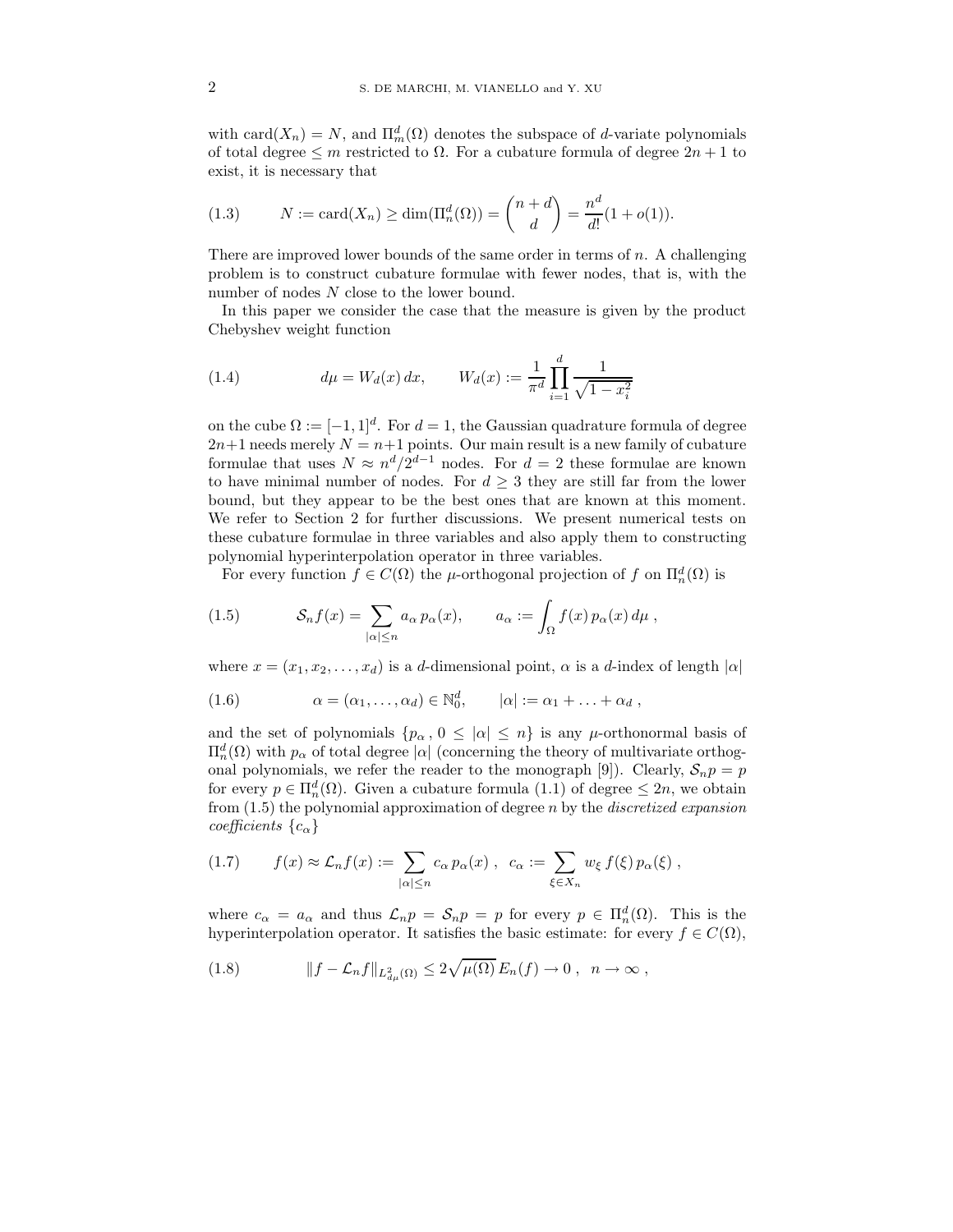with  $card(X_n) = N$ , and  $\Pi_m^d(\Omega)$  denotes the subspace of d-variate polynomials of total degree  $\leq m$  restricted to  $\Omega$ . For a cubature formula of degree  $2n+1$  to exist, it is necessary that

(1.3) 
$$
N := \text{card}(X_n) \ge \dim(\Pi_n^d(\Omega)) = {n+d \choose d} = \frac{n^d}{d!} (1 + o(1)).
$$

There are improved lower bounds of the same order in terms of  $n$ . A challenging problem is to construct cubature formulae with fewer nodes, that is, with the number of nodes N close to the lower bound.

In this paper we consider the case that the measure is given by the product Chebyshev weight function

(1.4) 
$$
d\mu = W_d(x) dx, \qquad W_d(x) := \frac{1}{\pi^d} \prod_{i=1}^d \frac{1}{\sqrt{1 - x_i^2}}
$$

on the cube  $\Omega := [-1, 1]^d$ . For  $d = 1$ , the Gaussian quadrature formula of degree  $2n+1$  needs merely  $N = n+1$  points. Our main result is a new family of cubature formulae that uses  $N \approx n^d/2^{d-1}$  nodes. For  $d=2$  these formulae are known to have minimal number of nodes. For  $d \geq 3$  they are still far from the lower bound, but they appear to be the best ones that are known at this moment. We refer to Section 2 for further discussions. We present numerical tests on these cubature formulae in three variables and also apply them to constructing polynomial hyperinterpolation operator in three variables.

For every function  $f \in C(\Omega)$  the  $\mu$ -orthogonal projection of f on  $\Pi_n^d(\Omega)$  is

(1.5) 
$$
\mathcal{S}_n f(x) = \sum_{|\alpha| \le n} a_\alpha p_\alpha(x), \qquad a_\alpha := \int_{\Omega} f(x) p_\alpha(x) d\mu,
$$

where  $x = (x_1, x_2, \ldots, x_d)$  is a d-dimensional point,  $\alpha$  is a d-index of length  $|\alpha|$ 

(1.6) 
$$
\alpha = (\alpha_1, \ldots, \alpha_d) \in \mathbb{N}_0^d, \qquad |\alpha| := \alpha_1 + \ldots + \alpha_d,
$$

and the set of polynomials  $\{p_{\alpha}, 0 \leq |\alpha| \leq n\}$  is any  $\mu$ -orthonormal basis of  $\Pi_n^d(\Omega)$  with  $p_\alpha$  of total degree |α| (concerning the theory of multivariate orthogonal polynomials, we refer the reader to the monograph [9]). Clearly,  $S_n p = p$ for every  $p \in \Pi_n^d(\Omega)$ . Given a cubature formula  $(1.1)$  of degree  $\leq 2n$ , we obtain from  $(1.5)$  the polynomial approximation of degree n by the *discretized expansion* coefficients  $\{c_{\alpha}\}\$ 

$$
(1.7) \t f(x) \approx \mathcal{L}_n f(x) := \sum_{|\alpha| \le n} c_{\alpha} p_{\alpha}(x) , \ c_{\alpha} := \sum_{\xi \in X_n} w_{\xi} f(\xi) p_{\alpha}(\xi) ,
$$

where  $c_{\alpha} = a_{\alpha}$  and thus  $\mathcal{L}_n p = \mathcal{S}_n p = p$  for every  $p \in \Pi_n^d(\Omega)$ . This is the hyperinterpolation operator. It satisfies the basic estimate: for every  $f \in C(\Omega)$ ,

(1.8) 
$$
||f - \mathcal{L}_n f||_{L^2_{d\mu}(\Omega)} \leq 2\sqrt{\mu(\Omega)} E_n(f) \to 0 , \quad n \to \infty ,
$$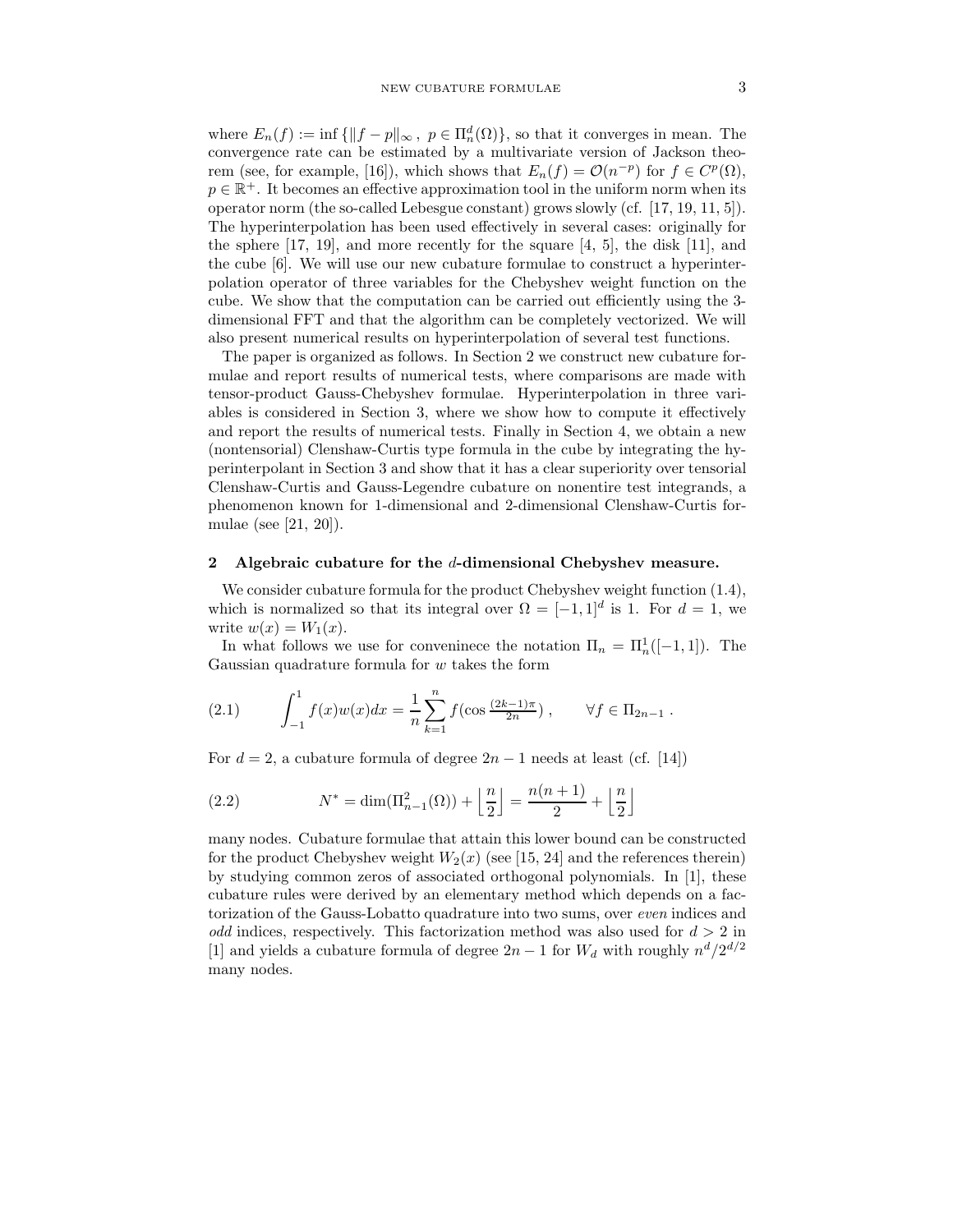where  $E_n(f) := \inf \{ ||f - p||_{\infty}, \ p \in \Pi_n^d(\Omega) \}$ , so that it converges in mean. The convergence rate can be estimated by a multivariate version of Jackson theorem (see, for example, [16]), which shows that  $E_n(f) = \mathcal{O}(n^{-p})$  for  $f \in C^p(\Omega)$ ,  $p \in \mathbb{R}^+$ . It becomes an effective approximation tool in the uniform norm when its operator norm (the so-called Lebesgue constant) grows slowly (cf.  $[17, 19, 11, 5]$ ). The hyperinterpolation has been used effectively in several cases: originally for the sphere  $[17, 19]$ , and more recently for the square  $[4, 5]$ , the disk  $[11]$ , and the cube [6]. We will use our new cubature formulae to construct a hyperinterpolation operator of three variables for the Chebyshev weight function on the cube. We show that the computation can be carried out efficiently using the 3 dimensional FFT and that the algorithm can be completely vectorized. We will also present numerical results on hyperinterpolation of several test functions.

The paper is organized as follows. In Section 2 we construct new cubature formulae and report results of numerical tests, where comparisons are made with tensor-product Gauss-Chebyshev formulae. Hyperinterpolation in three variables is considered in Section 3, where we show how to compute it effectively and report the results of numerical tests. Finally in Section 4, we obtain a new (nontensorial) Clenshaw-Curtis type formula in the cube by integrating the hyperinterpolant in Section 3 and show that it has a clear superiority over tensorial Clenshaw-Curtis and Gauss-Legendre cubature on nonentire test integrands, a phenomenon known for 1-dimensional and 2-dimensional Clenshaw-Curtis formulae (see [21, 20]).

# 2 Algebraic cubature for the d-dimensional Chebyshev measure.

We consider cubature formula for the product Chebyshev weight function (1.4), which is normalized so that its integral over  $\Omega = [-1, 1]^d$  is 1. For  $d = 1$ , we write  $w(x) = W_1(x)$ .

In what follows we use for conveninece the notation  $\Pi_n = \Pi_n^1([-1,1])$ . The Gaussian quadrature formula for  $w$  takes the form

(2.1) 
$$
\int_{-1}^{1} f(x)w(x)dx = \frac{1}{n}\sum_{k=1}^{n} f(\cos\frac{(2k-1)\pi}{2n}), \quad \forall f \in \Pi_{2n-1}.
$$

For  $d = 2$ , a cubature formula of degree  $2n - 1$  needs at least (cf. [14])

(2.2) 
$$
N^* = \dim(\Pi_{n-1}^2(\Omega)) + \left\lfloor \frac{n}{2} \right\rfloor = \frac{n(n+1)}{2} + \left\lfloor \frac{n}{2} \right\rfloor
$$

many nodes. Cubature formulae that attain this lower bound can be constructed for the product Chebyshev weight  $W_2(x)$  (see [15, 24] and the references therein) by studying common zeros of associated orthogonal polynomials. In [1], these cubature rules were derived by an elementary method which depends on a factorization of the Gauss-Lobatto quadrature into two sums, over even indices and odd indices, respectively. This factorization method was also used for  $d > 2$  in [1] and yields a cubature formula of degree  $2n-1$  for  $W_d$  with roughly  $n^d/2^{d/2}$ many nodes.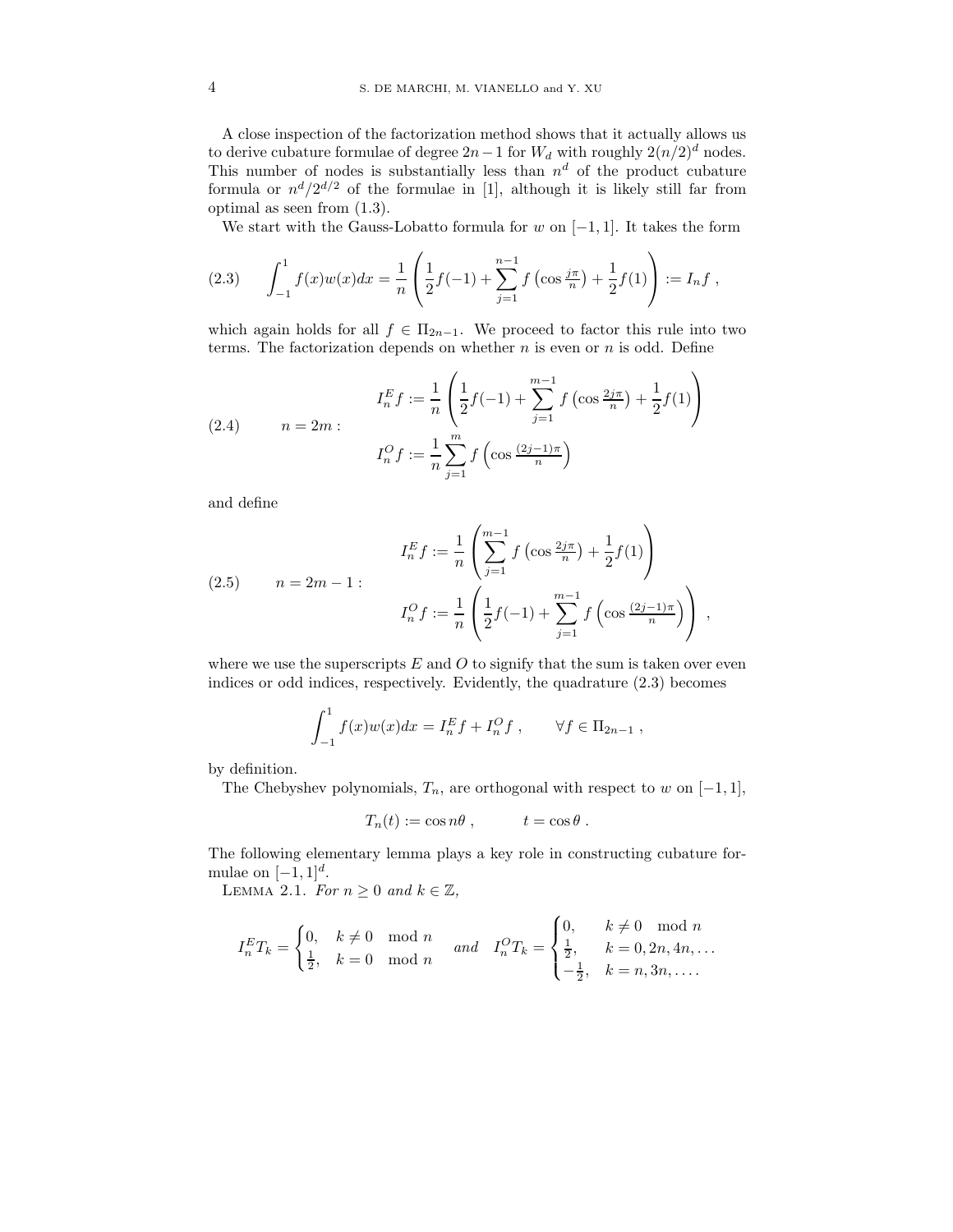A close inspection of the factorization method shows that it actually allows us to derive cubature formulae of degree  $2n-1$  for  $W_d$  with roughly  $2(n/2)^d$  nodes. This number of nodes is substantially less than  $n^d$  of the product cubature formula or  $n^d/2^{d/2}$  of the formulae in [1], although it is likely still far from optimal as seen from (1.3).

We start with the Gauss-Lobatto formula for  $w$  on  $[-1, 1]$ . It takes the form

$$
(2.3) \qquad \int_{-1}^{1} f(x)w(x)dx = \frac{1}{n} \left( \frac{1}{2}f(-1) + \sum_{j=1}^{n-1} f\left(\cos\frac{j\pi}{n}\right) + \frac{1}{2}f(1) \right) := I_n f,
$$

which again holds for all  $f \in \Pi_{2n-1}$ . We proceed to factor this rule into two terms. The factorization depends on whether  $n$  is even or  $n$  is odd. Define

(2.4) 
$$
I_n^E f := \frac{1}{n} \left( \frac{1}{2} f(-1) + \sum_{j=1}^{m-1} f \left( \cos \frac{2j\pi}{n} \right) + \frac{1}{2} f(1) \right)
$$

$$
I_n^O f := \frac{1}{n} \sum_{j=1}^m f \left( \cos \frac{(2j-1)\pi}{n} \right)
$$

and define

(2.5) 
$$
I_n^E f := \frac{1}{n} \left( \sum_{j=1}^{m-1} f \left( \cos \frac{2j\pi}{n} \right) + \frac{1}{2} f(1) \right)
$$

$$
n = 2m - 1:
$$

$$
I_n^O f := \frac{1}{n} \left( \frac{1}{2} f(-1) + \sum_{j=1}^{m-1} f \left( \cos \frac{(2j-1)\pi}{n} \right) \right),
$$

where we use the superscripts  $E$  and  $O$  to signify that the sum is taken over even indices or odd indices, respectively. Evidently, the quadrature (2.3) becomes

$$
\int_{-1}^{1} f(x)w(x)dx = I_n^E f + I_n^O f , \qquad \forall f \in \Pi_{2n-1} ,
$$

by definition.

The Chebyshev polynomials,  $T_n$ , are orthogonal with respect to w on  $[-1, 1]$ ,

$$
T_n(t) := \cos n\theta , \qquad t = \cos \theta .
$$

The following elementary lemma plays a key role in constructing cubature formulae on  $[-1, 1]^d$ .

LEMMA 2.1. For  $n \geq 0$  and  $k \in \mathbb{Z}$ ,

$$
I_n^E T_k = \begin{cases} 0, & k \neq 0 \mod n \\ \frac{1}{2}, & k = 0 \mod n \end{cases} \text{ and } I_n^O T_k = \begin{cases} 0, & k \neq 0 \mod n \\ \frac{1}{2}, & k = 0, 2n, 4n, \dots \\ -\frac{1}{2}, & k = n, 3n, \dots \end{cases}
$$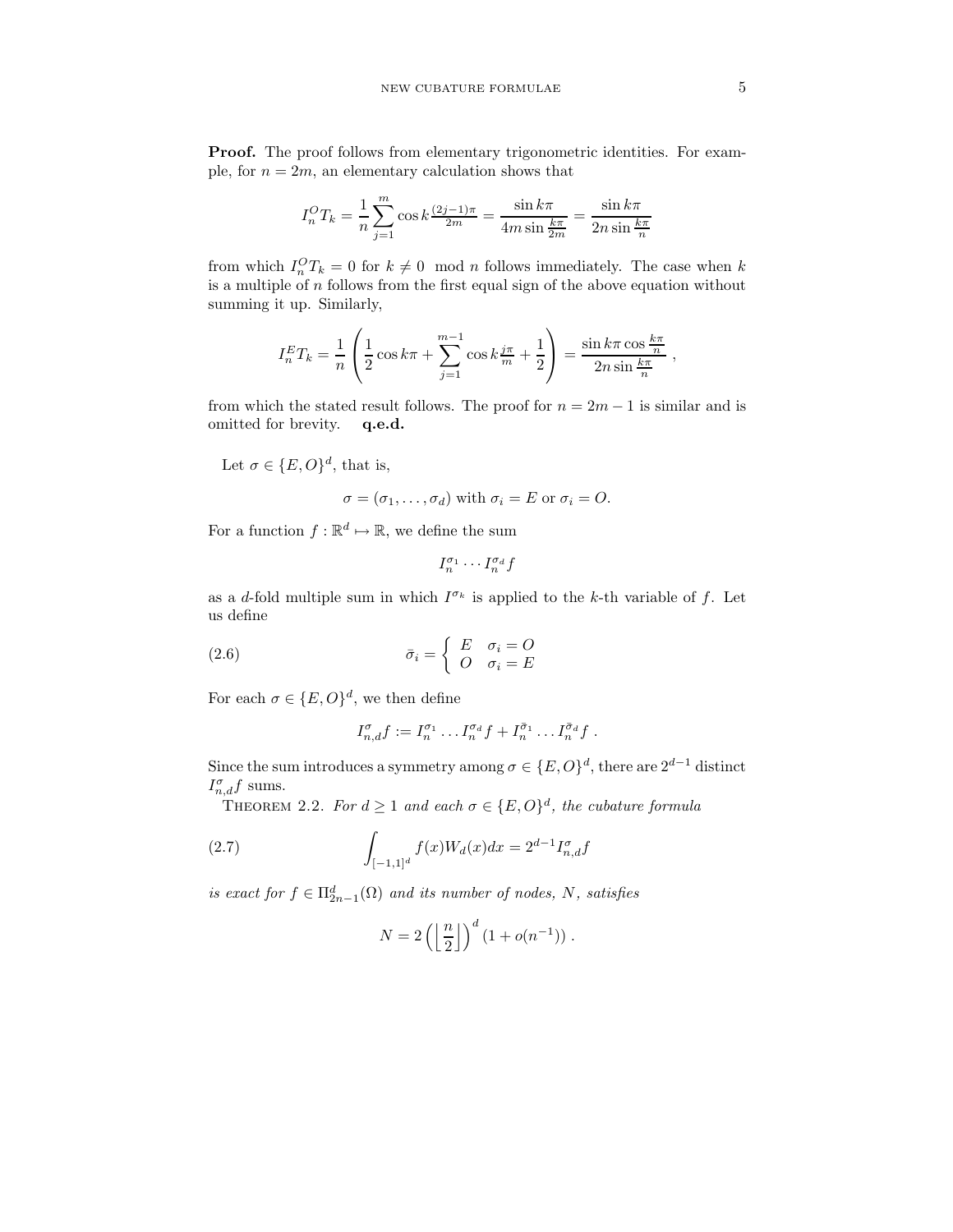Proof. The proof follows from elementary trigonometric identities. For example, for  $n = 2m$ , an elementary calculation shows that

$$
I_n^O T_k = \frac{1}{n} \sum_{j=1}^m \cos k \frac{(2j-1)\pi}{2m} = \frac{\sin k\pi}{4m \sin \frac{k\pi}{2m}} = \frac{\sin k\pi}{2n \sin \frac{k\pi}{n}}
$$

from which  $I_n^O T_k = 0$  for  $k \neq 0 \mod n$  follows immediately. The case when k is a multiple of  $n$  follows from the first equal sign of the above equation without summing it up. Similarly,

$$
I_n^E T_k = \frac{1}{n} \left( \frac{1}{2} \cos k\pi + \sum_{j=1}^{m-1} \cos k \frac{j\pi}{m} + \frac{1}{2} \right) = \frac{\sin k\pi \cos \frac{k\pi}{n}}{2n \sin \frac{k\pi}{n}}
$$

from which the stated result follows. The proof for  $n = 2m - 1$  is similar and is omitted for brevity. q.e.d.

Let  $\sigma \in \{E, O\}^d$ , that is,

$$
\sigma = (\sigma_1, \dots, \sigma_d) \text{ with } \sigma_i = E \text{ or } \sigma_i = O.
$$

For a function  $f : \mathbb{R}^d \mapsto \mathbb{R}$ , we define the sum

$$
I_n^{\sigma_1} \cdot \cdot \cdot I_n^{\sigma_d} f
$$

as a d-fold multiple sum in which  $I^{\sigma_k}$  is applied to the k-th variable of f. Let us define

(2.6) 
$$
\bar{\sigma}_i = \begin{cases} E & \sigma_i = O \\ O & \sigma_i = E \end{cases}
$$

For each  $\sigma \in \{E, O\}^d$ , we then define

$$
I_{n,d}^{\sigma}f := I_n^{\sigma_1} \dots I_n^{\sigma_d}f + I_n^{\bar{\sigma}_1} \dots I_n^{\bar{\sigma}_d}f.
$$

Since the sum introduces a symmetry among  $\sigma \in \{E, O\}^d$ , there are  $2^{d-1}$  distinct  $I_{n,d}^{\sigma}f$  sums.

THEOREM 2.2. For  $d \geq 1$  and each  $\sigma \in \{E, O\}^d$ , the cubature formula

(2.7) 
$$
\int_{[-1,1]^d} f(x)W_d(x)dx = 2^{d-1}I_{n,d}^{\sigma}f
$$

is exact for  $f \in \Pi_{2n-1}^d(\Omega)$  and its number of nodes, N, satisfies

$$
N = 2\left(\left\lfloor \frac{n}{2} \right\rfloor\right)^d \left(1 + o(n^{-1})\right).
$$

,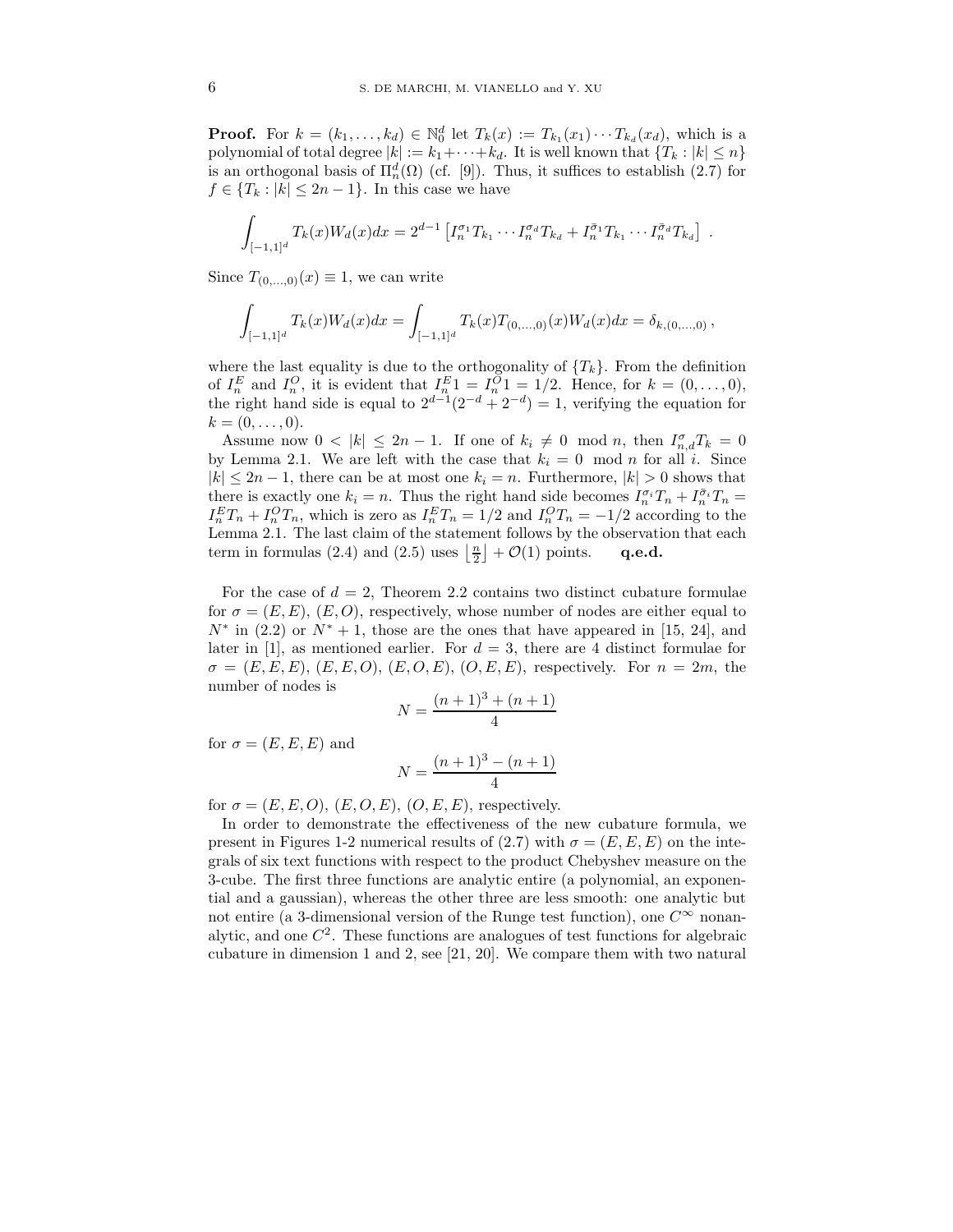**Proof.** For  $k = (k_1, ..., k_d) \in \mathbb{N}_0^d$  let  $T_k(x) := T_{k_1}(x_1) \cdots T_{k_d}(x_d)$ , which is a polynomial of total degree  $|k| := k_1 + \cdots + k_d$ . It is well known that  $\{T_k : |k| \leq n\}$ is an orthogonal basis of  $\Pi_n^d(\Omega)$  (cf. [9]). Thus, it suffices to establish (2.7) for  $f \in \{T_k : |k| \leq 2n-1\}$ . In this case we have

$$
\int_{[-1,1]^d} T_k(x)W_d(x)dx = 2^{d-1} \left[ I_n^{\sigma_1} T_{k_1} \cdots I_n^{\sigma_d} T_{k_d} + I_n^{\bar{\sigma}_1} T_{k_1} \cdots I_n^{\bar{\sigma}_d} T_{k_d} \right] .
$$

Since  $T_{(0,\ldots,0)}(x) \equiv 1$ , we can write

$$
\int_{[-1,1]^d} T_k(x)W_d(x)dx = \int_{[-1,1]^d} T_k(x)T_{(0,...,0)}(x)W_d(x)dx = \delta_{k,(0,...,0)},
$$

where the last equality is due to the orthogonality of  $\{T_k\}$ . From the definition of  $I_n^E$  and  $I_n^O$ , it is evident that  $I_n^E 1 = I_n^O 1 = 1/2$ . Hence, for  $k = (0, \ldots, 0)$ , the right hand side is equal to  $2^{d-1}(2^{-d}+2^{-d})=1$ , verifying the equation for  $k = (0, \ldots, 0).$ 

Assume now  $0 < |k| \leq 2n - 1$ . If one of  $k_i \neq 0 \mod n$ , then  $I_{n,d}^{\sigma} T_k = 0$ by Lemma 2.1. We are left with the case that  $k_i = 0 \mod n$  for all i. Since  $|k| \leq 2n-1$ , there can be at most one  $k_i = n$ . Furthermore,  $|k| > 0$  shows that there is exactly one  $k_i = n$ . Thus the right hand side becomes  $I_n^{\sigma_i}T_n + I_n^{\bar{\sigma}_i}T_n =$  $I_n^ET_n + I_n^OT_n$ , which is zero as  $I_n^ET_n = 1/2$  and  $I_n^OT_n = -1/2$  according to the Lemma 2.1. The last claim of the statement follows by the observation that each term in formulas (2.4) and (2.5) uses  $\left\lfloor \frac{n}{2} \right\rfloor + \mathcal{O}(1)$  points. **q.e.d.** 

For the case of  $d = 2$ , Theorem 2.2 contains two distinct cubature formulae for  $\sigma = (E, E), (E, O)$ , respectively, whose number of nodes are either equal to  $N^*$  in (2.2) or  $N^* + 1$ , those are the ones that have appeared in [15, 24], and later in [1], as mentioned earlier. For  $d = 3$ , there are 4 distinct formulae for  $\sigma = (E, E, E), (E, E, O), (E, O, E), (O, E, E),$  respectively. For  $n = 2m$ , the number of nodes is

$$
N = \frac{(n+1)^3 + (n+1)}{4}
$$

for  $\sigma = (E, E, E)$  and

$$
N = \frac{(n+1)^3 - (n+1)}{4}
$$

for  $\sigma = (E, E, O), (E, O, E), (O, E, E),$  respectively.

In order to demonstrate the effectiveness of the new cubature formula, we present in Figures 1-2 numerical results of (2.7) with  $\sigma = (E, E, E)$  on the integrals of six text functions with respect to the product Chebyshev measure on the 3-cube. The first three functions are analytic entire (a polynomial, an exponential and a gaussian), whereas the other three are less smooth: one analytic but not entire (a 3-dimensional version of the Runge test function), one  $C^{\infty}$  nonanalytic, and one  $C<sup>2</sup>$ . These functions are analogues of test functions for algebraic cubature in dimension 1 and 2, see [21, 20]. We compare them with two natural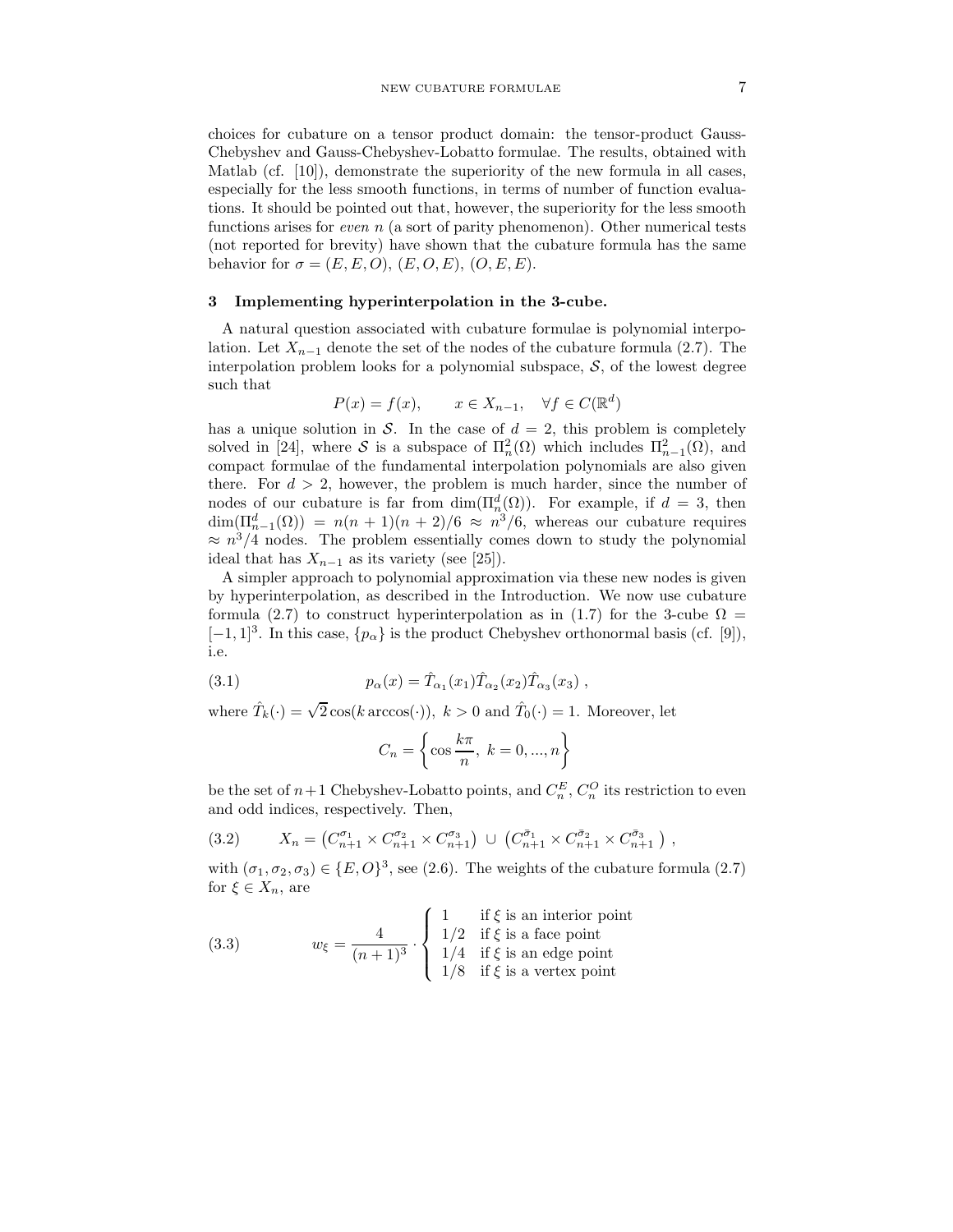choices for cubature on a tensor product domain: the tensor-product Gauss-Chebyshev and Gauss-Chebyshev-Lobatto formulae. The results, obtained with Matlab (cf. [10]), demonstrate the superiority of the new formula in all cases, especially for the less smooth functions, in terms of number of function evaluations. It should be pointed out that, however, the superiority for the less smooth functions arises for *even n* (a sort of parity phenomenon). Other numerical tests (not reported for brevity) have shown that the cubature formula has the same behavior for  $\sigma = (E, E, O), (E, O, E), (O, E, E).$ 

#### 3 Implementing hyperinterpolation in the 3-cube.

A natural question associated with cubature formulae is polynomial interpolation. Let  $X_{n-1}$  denote the set of the nodes of the cubature formula (2.7). The interpolation problem looks for a polynomial subspace,  $S$ , of the lowest degree such that

$$
P(x) = f(x), \qquad x \in X_{n-1}, \quad \forall f \in C(\mathbb{R}^d)
$$

has a unique solution in S. In the case of  $d = 2$ , this problem is completely solved in [24], where S is a subspace of  $\Pi_n^2(\Omega)$  which includes  $\Pi_{n-1}^2(\Omega)$ , and compact formulae of the fundamental interpolation polynomials are also given there. For  $d > 2$ , however, the problem is much harder, since the number of nodes of our cubature is far from  $\dim(\Pi_n^d(\Omega))$ . For example, if  $d = 3$ , then  $\dim(\Pi_{n-1}^d(\Omega)) = n(n+1)(n+2)/6 \approx n^3/6$ , whereas our cubature requires  $\approx n^3/4$  nodes. The problem essentially comes down to study the polynomial ideal that has  $X_{n-1}$  as its variety (see [25]).

A simpler approach to polynomial approximation via these new nodes is given by hyperinterpolation, as described in the Introduction. We now use cubature formula (2.7) to construct hyperinterpolation as in (1.7) for the 3-cube  $\Omega =$  $[-1, 1]^3$ . In this case,  $\{p_\alpha\}$  is the product Chebyshev orthonormal basis (cf. [9]), i.e.

(3.1) 
$$
p_{\alpha}(x) = \hat{T}_{\alpha_1}(x_1)\hat{T}_{\alpha_2}(x_2)\hat{T}_{\alpha_3}(x_3) ,
$$

where  $\hat{T}_k(\cdot) = \sqrt{2} \cos(k \arccos(\cdot)), k > 0$  and  $\hat{T}_0(\cdot) = 1$ . Moreover, let

$$
C_n = \left\{ \cos \frac{k\pi}{n}, \ k = 0, ..., n \right\}
$$

be the set of  $n+1$  Chebyshev-Lobatto points, and  $C_n^E$ ,  $C_n^O$  its restriction to even and odd indices, respectively. Then,

$$
(3.2) \qquad X_n = \left( C_{n+1}^{\sigma_1} \times C_{n+1}^{\sigma_2} \times C_{n+1}^{\sigma_3} \right) \cup \left( C_{n+1}^{\bar{\sigma}_1} \times C_{n+1}^{\bar{\sigma}_2} \times C_{n+1}^{\bar{\sigma}_3} \right),
$$

with  $(\sigma_1, \sigma_2, \sigma_3) \in \{E, O\}^3$ , see (2.6). The weights of the cubature formula (2.7) for  $\xi \in X_n$ , are

(3.3) 
$$
w_{\xi} = \frac{4}{(n+1)^3} \cdot \begin{cases} 1 & \text{if } \xi \text{ is an interior point} \\ 1/2 & \text{if } \xi \text{ is a face point} \\ 1/4 & \text{if } \xi \text{ is an edge point} \\ 1/8 & \text{if } \xi \text{ is a vertex point} \end{cases}
$$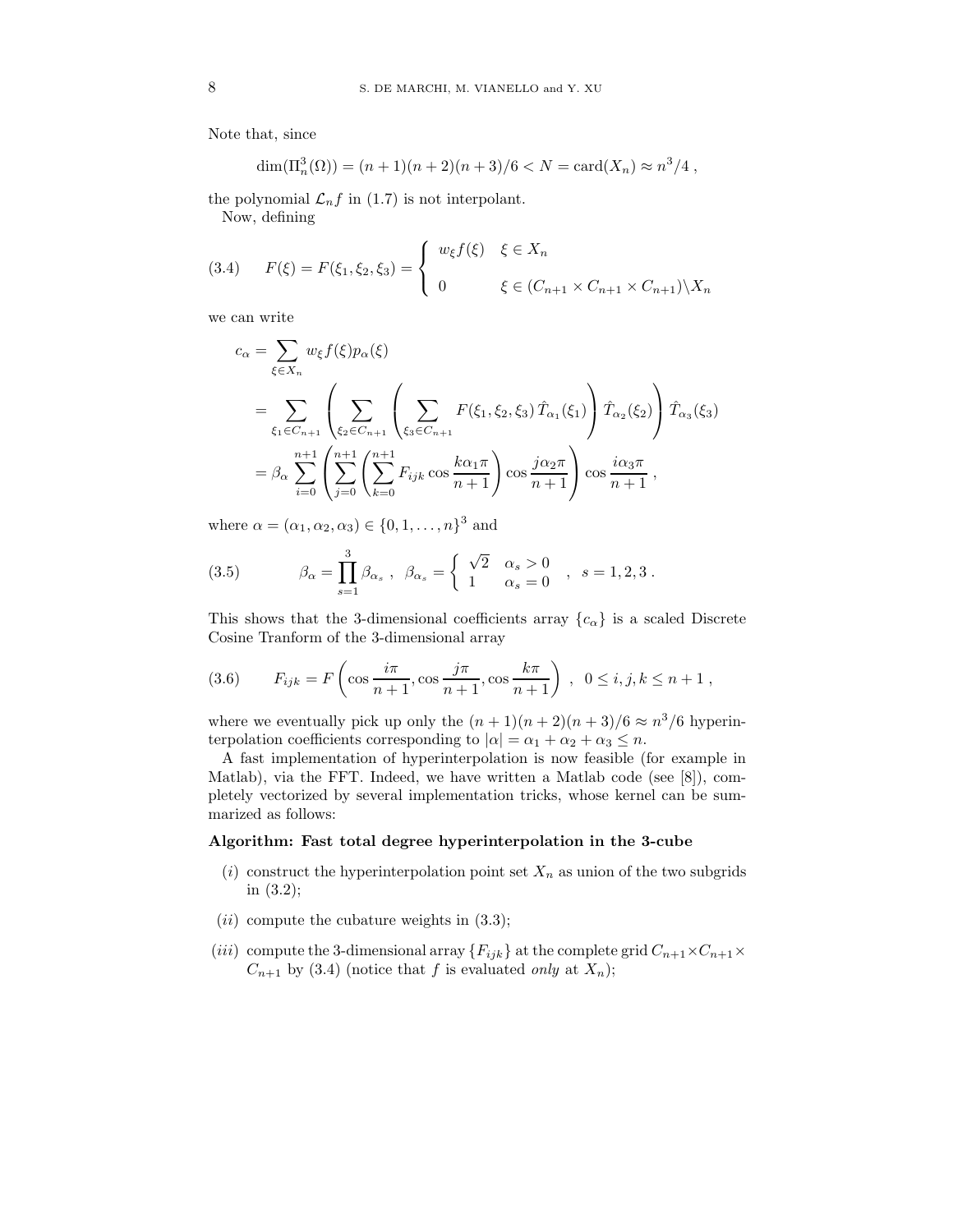Note that, since

$$
\dim(\Pi_n^3(\Omega)) = (n+1)(n+2)(n+3)/6 < N = \text{card}(X_n) \approx n^3/4,
$$

the polynomial  $\mathcal{L}_n f$  in (1.7) is not interpolant.

Now, defining

(3.4) 
$$
F(\xi) = F(\xi_1, \xi_2, \xi_3) = \begin{cases} w_{\xi} f(\xi) & \xi \in X_n \\ 0 & \xi \in (C_{n+1} \times C_{n+1} \times C_{n+1}) \setminus X_n \end{cases}
$$

we can write

$$
c_{\alpha} = \sum_{\xi \in X_n} w_{\xi} f(\xi) p_{\alpha}(\xi)
$$
  
= 
$$
\sum_{\xi_1 \in C_{n+1}} \left( \sum_{\xi_2 \in C_{n+1}} \left( \sum_{\xi_3 \in C_{n+1}} F(\xi_1, \xi_2, \xi_3) \hat{T}_{\alpha_1}(\xi_1) \right) \hat{T}_{\alpha_2}(\xi_2) \right) \hat{T}_{\alpha_3}(\xi_3)
$$
  
= 
$$
\beta_{\alpha} \sum_{i=0}^{n+1} \left( \sum_{j=0}^{n+1} \left( \sum_{k=0}^{n+1} F_{ijk} \cos \frac{k\alpha_1 \pi}{n+1} \right) \cos \frac{j\alpha_2 \pi}{n+1} \right) \cos \frac{i\alpha_3 \pi}{n+1},
$$

where  $\alpha = (\alpha_1, \alpha_2, \alpha_3) \in \{0, 1, ..., n\}^3$  and

(3.5) 
$$
\beta_{\alpha} = \prod_{s=1}^{3} \beta_{\alpha_s} , \quad \beta_{\alpha_s} = \begin{cases} \sqrt{2} & \alpha_s > 0 \\ 1 & \alpha_s = 0 \end{cases} , s = 1, 2, 3.
$$

This shows that the 3-dimensional coefficients array  ${c_{\alpha}}$  is a scaled Discrete Cosine Tranform of the 3-dimensional array

(3.6) 
$$
F_{ijk} = F\left(\cos\frac{i\pi}{n+1}, \cos\frac{j\pi}{n+1}, \cos\frac{k\pi}{n+1}\right), \ 0 \le i, j, k \le n+1,
$$

where we eventually pick up only the  $(n+1)(n+2)(n+3)/6 \approx n^3/6$  hyperinterpolation coefficients corresponding to  $|\alpha| = \alpha_1 + \alpha_2 + \alpha_3 \leq n$ .

A fast implementation of hyperinterpolation is now feasible (for example in Matlab), via the FFT. Indeed, we have written a Matlab code (see [8]), completely vectorized by several implementation tricks, whose kernel can be summarized as follows:

# Algorithm: Fast total degree hyperinterpolation in the 3-cube

- (i) construct the hyperinterpolation point set  $X_n$  as union of the two subgrids in (3.2);
- $(ii)$  compute the cubature weights in  $(3.3);$
- (*iii*) compute the 3-dimensional array  ${F_{ijk}}$  at the complete grid  $C_{n+1} \times C_{n+1} \times$  $C_{n+1}$  by (3.4) (notice that f is evaluated only at  $X_n$ );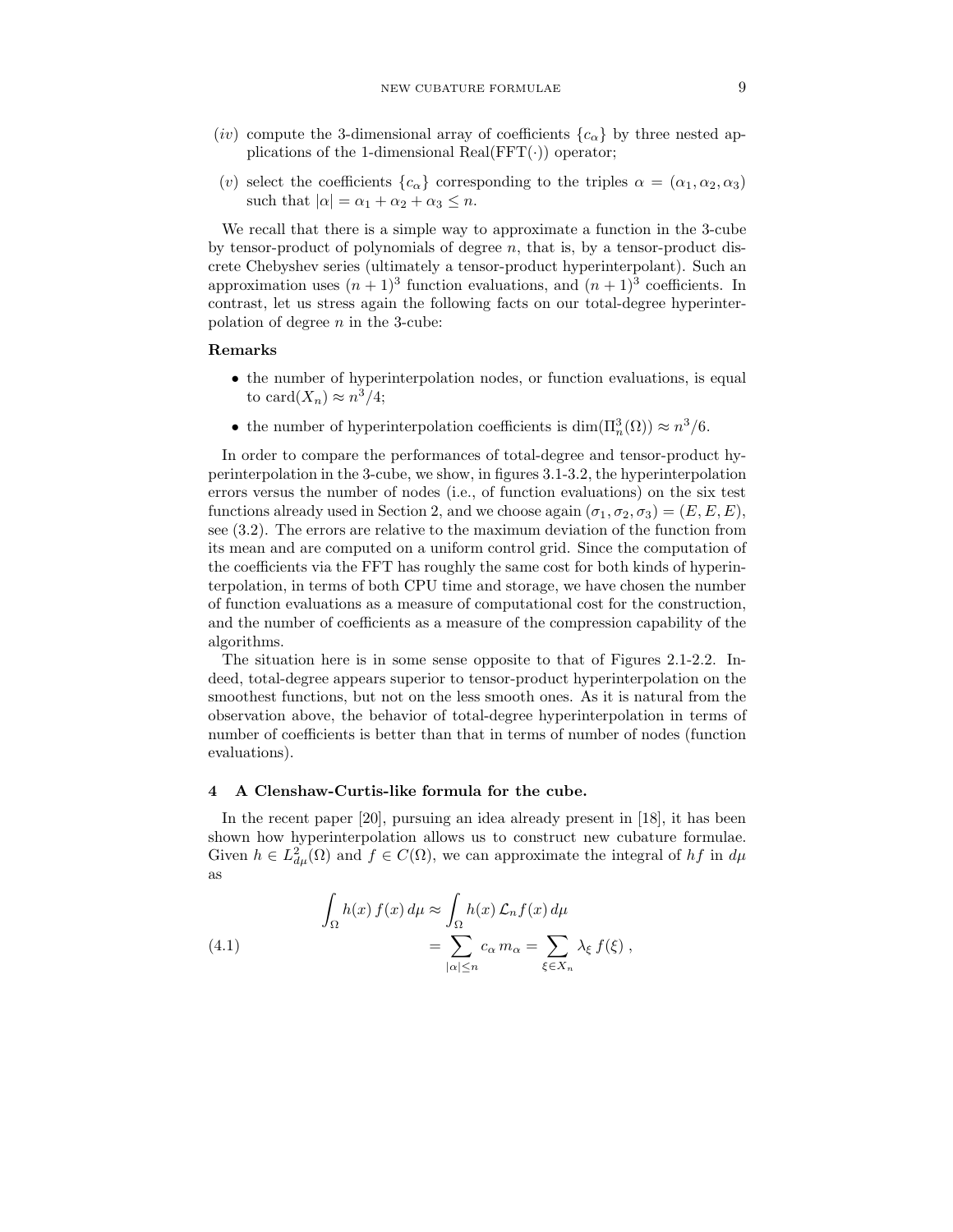- (iv) compute the 3-dimensional array of coefficients  ${c_{\alpha}}$  by three nested applications of the 1-dimensional Real( $FFT(\cdot)$ ) operator;
- (v) select the coefficients  ${c_{\alpha}}$  corresponding to the triples  $\alpha = (\alpha_1, \alpha_2, \alpha_3)$ such that  $|\alpha| = \alpha_1 + \alpha_2 + \alpha_3 \leq n$ .

We recall that there is a simple way to approximate a function in the 3-cube by tensor-product of polynomials of degree  $n$ , that is, by a tensor-product discrete Chebyshev series (ultimately a tensor-product hyperinterpolant). Such an approximation uses  $(n+1)^3$  function evaluations, and  $(n+1)^3$  coefficients. In contrast, let us stress again the following facts on our total-degree hyperinterpolation of degree  $n$  in the 3-cube:

## Remarks

- the number of hyperinterpolation nodes, or function evaluations, is equal to card $(X_n) \approx n^3/4;$
- the number of hyperinterpolation coefficients is  $\dim(\Pi_n^3(\Omega)) \approx n^3/6$ .

In order to compare the performances of total-degree and tensor-product hyperinterpolation in the 3-cube, we show, in figures 3.1-3.2, the hyperinterpolation errors versus the number of nodes (i.e., of function evaluations) on the six test functions already used in Section 2, and we choose again  $(\sigma_1, \sigma_2, \sigma_3) = (E, E, E)$ , see (3.2). The errors are relative to the maximum deviation of the function from its mean and are computed on a uniform control grid. Since the computation of the coefficients via the FFT has roughly the same cost for both kinds of hyperinterpolation, in terms of both CPU time and storage, we have chosen the number of function evaluations as a measure of computational cost for the construction, and the number of coefficients as a measure of the compression capability of the algorithms.

The situation here is in some sense opposite to that of Figures 2.1-2.2. Indeed, total-degree appears superior to tensor-product hyperinterpolation on the smoothest functions, but not on the less smooth ones. As it is natural from the observation above, the behavior of total-degree hyperinterpolation in terms of number of coefficients is better than that in terms of number of nodes (function evaluations).

#### 4 A Clenshaw-Curtis-like formula for the cube.

In the recent paper [20], pursuing an idea already present in [18], it has been shown how hyperinterpolation allows us to construct new cubature formulae. Given  $h \in L^2_{d\mu}(\Omega)$  and  $f \in C(\Omega)$ , we can approximate the integral of  $hf$  in  $d\mu$ as

(4.1) 
$$
\int_{\Omega} h(x) f(x) d\mu \approx \int_{\Omega} h(x) \mathcal{L}_n f(x) d\mu
$$

$$
= \sum_{|\alpha| \le n} c_{\alpha} m_{\alpha} = \sum_{\xi \in X_n} \lambda_{\xi} f(\xi) ,
$$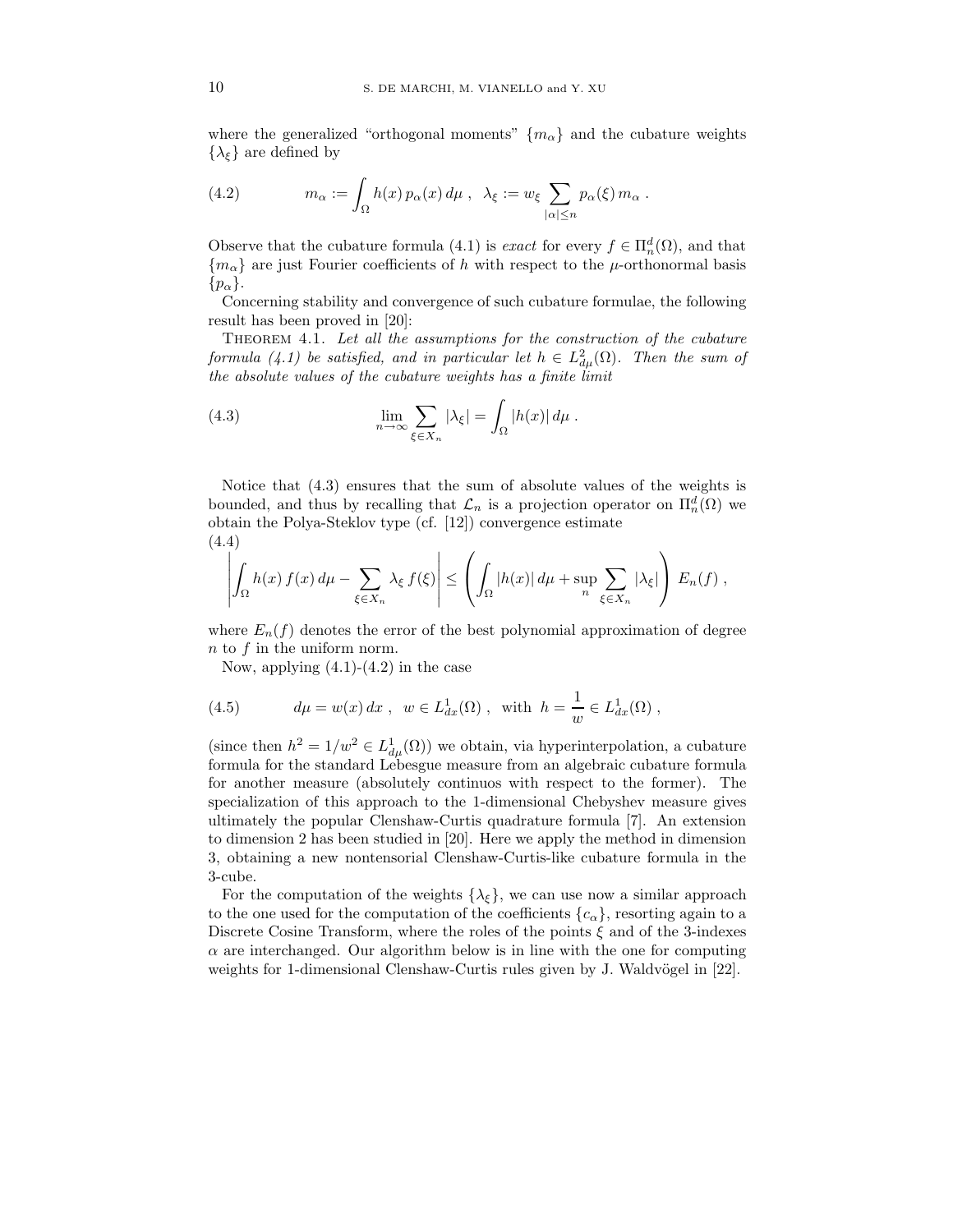where the generalized "orthogonal moments"  ${m_\alpha}$  and the cubature weights  $\{\lambda_{\xi}\}\)$  are defined by

(4.2) 
$$
m_{\alpha} := \int_{\Omega} h(x) p_{\alpha}(x) d\mu , \quad \lambda_{\xi} := w_{\xi} \sum_{|\alpha| \leq n} p_{\alpha}(\xi) m_{\alpha} .
$$

Observe that the cubature formula (4.1) is *exact* for every  $f \in \Pi_n^d(\Omega)$ , and that  ${m<sub>\alpha</sub>}$  are just Fourier coefficients of h with respect to the  $\mu$ -orthonormal basis  $\{p_{\alpha}\}.$ 

Concerning stability and convergence of such cubature formulae, the following result has been proved in [20]:

Theorem 4.1. Let all the assumptions for the construction of the cubature formula (4.1) be satisfied, and in particular let  $h \in L^2_{d\mu}(\Omega)$ . Then the sum of the absolute values of the cubature weights has a finite limit

(4.3) 
$$
\lim_{n \to \infty} \sum_{\xi \in X_n} |\lambda_{\xi}| = \int_{\Omega} |h(x)| d\mu.
$$

Notice that (4.3) ensures that the sum of absolute values of the weights is bounded, and thus by recalling that  $\mathcal{L}_n$  is a projection operator on  $\Pi_n^d(\Omega)$  we obtain the Polya-Steklov type (cf. [12]) convergence estimate (4.4)

$$
\left| \int_{\Omega} h(x) f(x) d\mu - \sum_{\xi \in X_n} \lambda_{\xi} f(\xi) \right| \leq \left( \int_{\Omega} |h(x)| d\mu + \sup_{n} \sum_{\xi \in X_n} |\lambda_{\xi}| \right) E_n(f) ,
$$

where  $E_n(f)$  denotes the error of the best polynomial approximation of degree n to f in the uniform norm.

Now, applying  $(4.1)-(4.2)$  in the case

(4.5) 
$$
d\mu = w(x) dx, \ \ w \in L^1_{dx}(\Omega), \ \ \text{with} \ \ h = \frac{1}{w} \in L^1_{dx}(\Omega) ,
$$

(since then  $h^2 = 1/w^2 \in L^1_{d\mu}(\Omega)$ ) we obtain, via hyperinterpolation, a cubature formula for the standard Lebesgue measure from an algebraic cubature formula for another measure (absolutely continuos with respect to the former). The specialization of this approach to the 1-dimensional Chebyshev measure gives ultimately the popular Clenshaw-Curtis quadrature formula [7]. An extension to dimension 2 has been studied in [20]. Here we apply the method in dimension 3, obtaining a new nontensorial Clenshaw-Curtis-like cubature formula in the 3-cube.

For the computation of the weights  $\{\lambda_{\xi}\}\)$ , we can use now a similar approach to the one used for the computation of the coefficients  ${c_{\alpha}}$ , resorting again to a Discrete Cosine Transform, where the roles of the points  $\xi$  and of the 3-indexes  $\alpha$  are interchanged. Our algorithm below is in line with the one for computing weights for 1-dimensional Clenshaw-Curtis rules given by J. Waldvögel in  $[22]$ .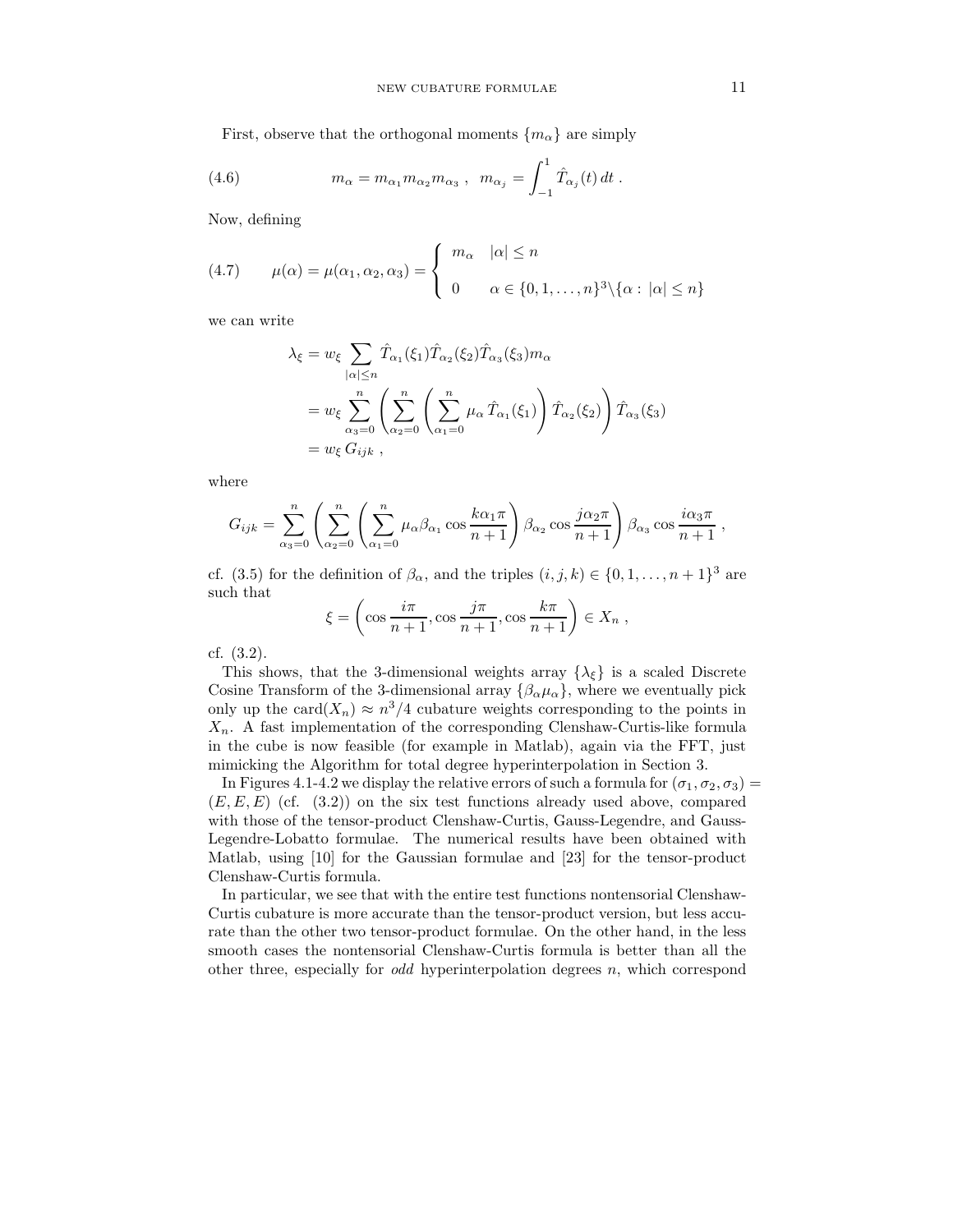First, observe that the orthogonal moments  $\{m_{\alpha}\}\$ are simply

(4.6) 
$$
m_{\alpha} = m_{\alpha_1} m_{\alpha_2} m_{\alpha_3} , \ \ m_{\alpha_j} = \int_{-1}^1 \hat{T}_{\alpha_j}(t) dt .
$$

Now, defining

(4.7) 
$$
\mu(\alpha) = \mu(\alpha_1, \alpha_2, \alpha_3) = \begin{cases} m_{\alpha} & |\alpha| \le n \\ 0 & \alpha \in \{0, 1, \dots, n\}^3 \setminus \{\alpha : |\alpha| \le n\} \end{cases}
$$

we can write

$$
\lambda_{\xi} = w_{\xi} \sum_{|\alpha| \le n} \hat{T}_{\alpha_1}(\xi_1) \hat{T}_{\alpha_2}(\xi_2) \hat{T}_{\alpha_3}(\xi_3) m_{\alpha}
$$
  
= 
$$
w_{\xi} \sum_{\alpha_3=0}^n \left( \sum_{\alpha_2=0}^n \left( \sum_{\alpha_1=0}^n \mu_{\alpha} \hat{T}_{\alpha_1}(\xi_1) \right) \hat{T}_{\alpha_2}(\xi_2) \right) \hat{T}_{\alpha_3}(\xi_3)
$$
  
= 
$$
w_{\xi} G_{ijk},
$$

where

$$
G_{ijk} = \sum_{\alpha_3=0}^n \left( \sum_{\alpha_2=0}^n \left( \sum_{\alpha_1=0}^n \mu_\alpha \beta_{\alpha_1} \cos \frac{k \alpha_1 \pi}{n+1} \right) \beta_{\alpha_2} \cos \frac{j \alpha_2 \pi}{n+1} \right) \beta_{\alpha_3} \cos \frac{i \alpha_3 \pi}{n+1},
$$

cf. (3.5) for the definition of  $\beta_{\alpha}$ , and the triples  $(i, j, k) \in \{0, 1, \ldots, n+1\}^3$  are such that

$$
\xi = \left(\cos\frac{i\pi}{n+1}, \cos\frac{j\pi}{n+1}, \cos\frac{k\pi}{n+1}\right) \in X_n ,
$$

cf. (3.2).

This shows, that the 3-dimensional weights array  $\{\lambda_{\xi}\}\$ is a scaled Discrete Cosine Transform of the 3-dimensional array  $\{\beta_{\alpha}\mu_{\alpha}\}\,$ , where we eventually pick only up the card $(X_n) \approx n^3/4$  cubature weights corresponding to the points in  $X_n$ . A fast implementation of the corresponding Clenshaw-Curtis-like formula in the cube is now feasible (for example in Matlab), again via the FFT, just mimicking the Algorithm for total degree hyperinterpolation in Section 3.

In Figures 4.1-4.2 we display the relative errors of such a formula for  $(\sigma_1, \sigma_2, \sigma_3)$  =  $(E, E, E)$  (cf.  $(3.2)$ ) on the six test functions already used above, compared with those of the tensor-product Clenshaw-Curtis, Gauss-Legendre, and Gauss-Legendre-Lobatto formulae. The numerical results have been obtained with Matlab, using [10] for the Gaussian formulae and [23] for the tensor-product Clenshaw-Curtis formula.

In particular, we see that with the entire test functions nontensorial Clenshaw-Curtis cubature is more accurate than the tensor-product version, but less accurate than the other two tensor-product formulae. On the other hand, in the less smooth cases the nontensorial Clenshaw-Curtis formula is better than all the other three, especially for *odd* hyperinterpolation degrees  $n$ , which correspond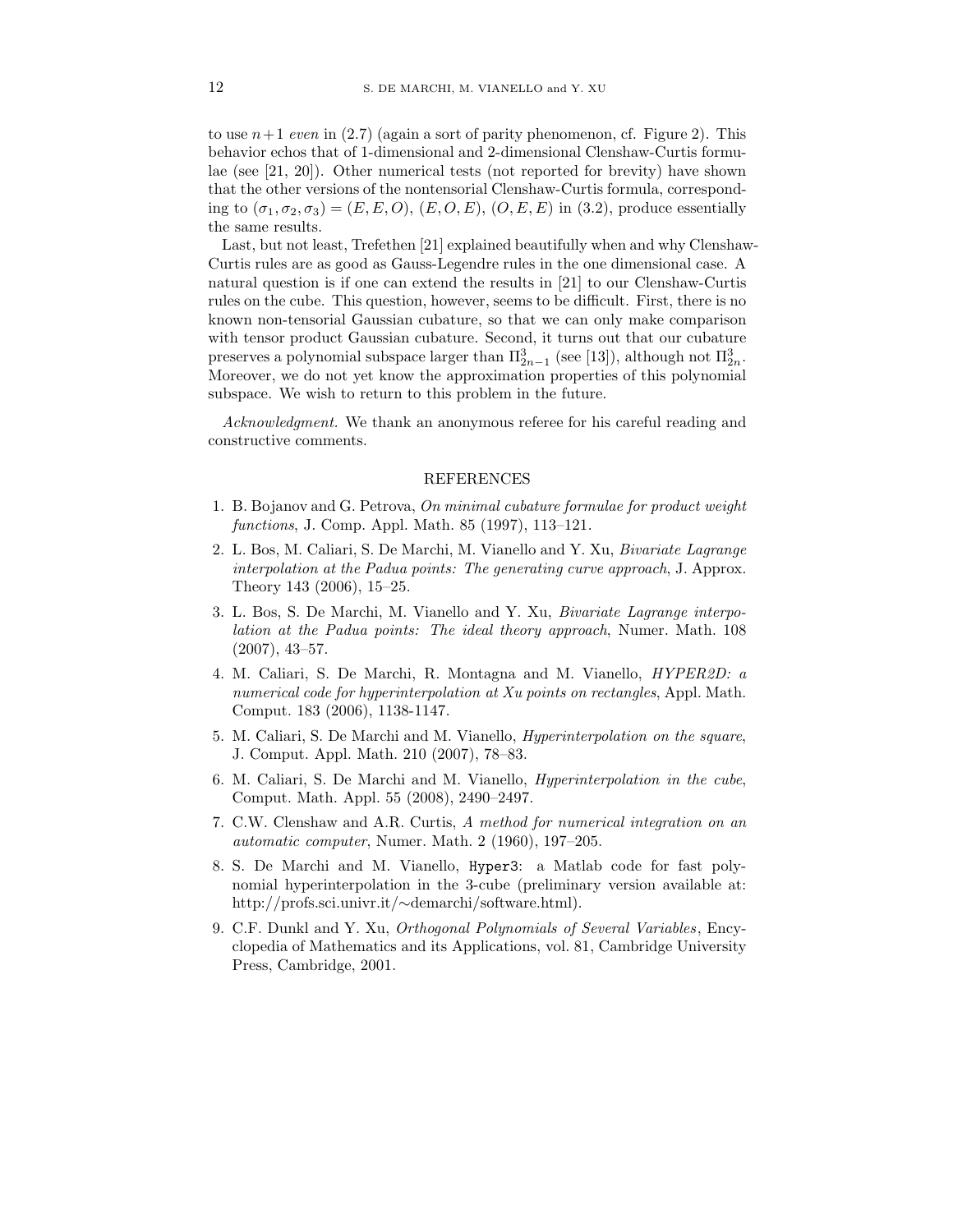to use  $n+1$  even in (2.7) (again a sort of parity phenomenon, cf. Figure 2). This behavior echos that of 1-dimensional and 2-dimensional Clenshaw-Curtis formulae (see [21, 20]). Other numerical tests (not reported for brevity) have shown that the other versions of the nontensorial Clenshaw-Curtis formula, corresponding to  $(\sigma_1, \sigma_2, \sigma_3) = (E, E, O), (E, O, E), (O, E, E)$  in (3.2), produce essentially the same results.

Last, but not least, Trefethen [21] explained beautifully when and why Clenshaw-Curtis rules are as good as Gauss-Legendre rules in the one dimensional case. A natural question is if one can extend the results in [21] to our Clenshaw-Curtis rules on the cube. This question, however, seems to be difficult. First, there is no known non-tensorial Gaussian cubature, so that we can only make comparison with tensor product Gaussian cubature. Second, it turns out that our cubature preserves a polynomial subspace larger than  $\Pi_{2n-1}^3$  (see [13]), although not  $\Pi_{2n}^3$ . Moreover, we do not yet know the approximation properties of this polynomial subspace. We wish to return to this problem in the future.

Acknowledgment. We thank an anonymous referee for his careful reading and constructive comments.

## REFERENCES

- 1. B. Bojanov and G. Petrova, On minimal cubature formulae for product weight functions, J. Comp. Appl. Math. 85 (1997), 113–121.
- 2. L. Bos, M. Caliari, S. De Marchi, M. Vianello and Y. Xu, Bivariate Lagrange interpolation at the Padua points: The generating curve approach, J. Approx. Theory 143 (2006), 15–25.
- 3. L. Bos, S. De Marchi, M. Vianello and Y. Xu, Bivariate Lagrange interpolation at the Padua points: The ideal theory approach, Numer. Math. 108 (2007), 43–57.
- 4. M. Caliari, S. De Marchi, R. Montagna and M. Vianello, HYPER2D: a numerical code for hyperinterpolation at Xu points on rectangles, Appl. Math. Comput. 183 (2006), 1138-1147.
- 5. M. Caliari, S. De Marchi and M. Vianello, Hyperinterpolation on the square, J. Comput. Appl. Math. 210 (2007), 78–83.
- 6. M. Caliari, S. De Marchi and M. Vianello, Hyperinterpolation in the cube, Comput. Math. Appl. 55 (2008), 2490–2497.
- 7. C.W. Clenshaw and A.R. Curtis, A method for numerical integration on an automatic computer, Numer. Math. 2 (1960), 197–205.
- 8. S. De Marchi and M. Vianello, Hyper3: a Matlab code for fast polynomial hyperinterpolation in the 3-cube (preliminary version available at: http://profs.sci.univr.it/∼demarchi/software.html).
- 9. C.F. Dunkl and Y. Xu, Orthogonal Polynomials of Several Variables, Encyclopedia of Mathematics and its Applications, vol. 81, Cambridge University Press, Cambridge, 2001.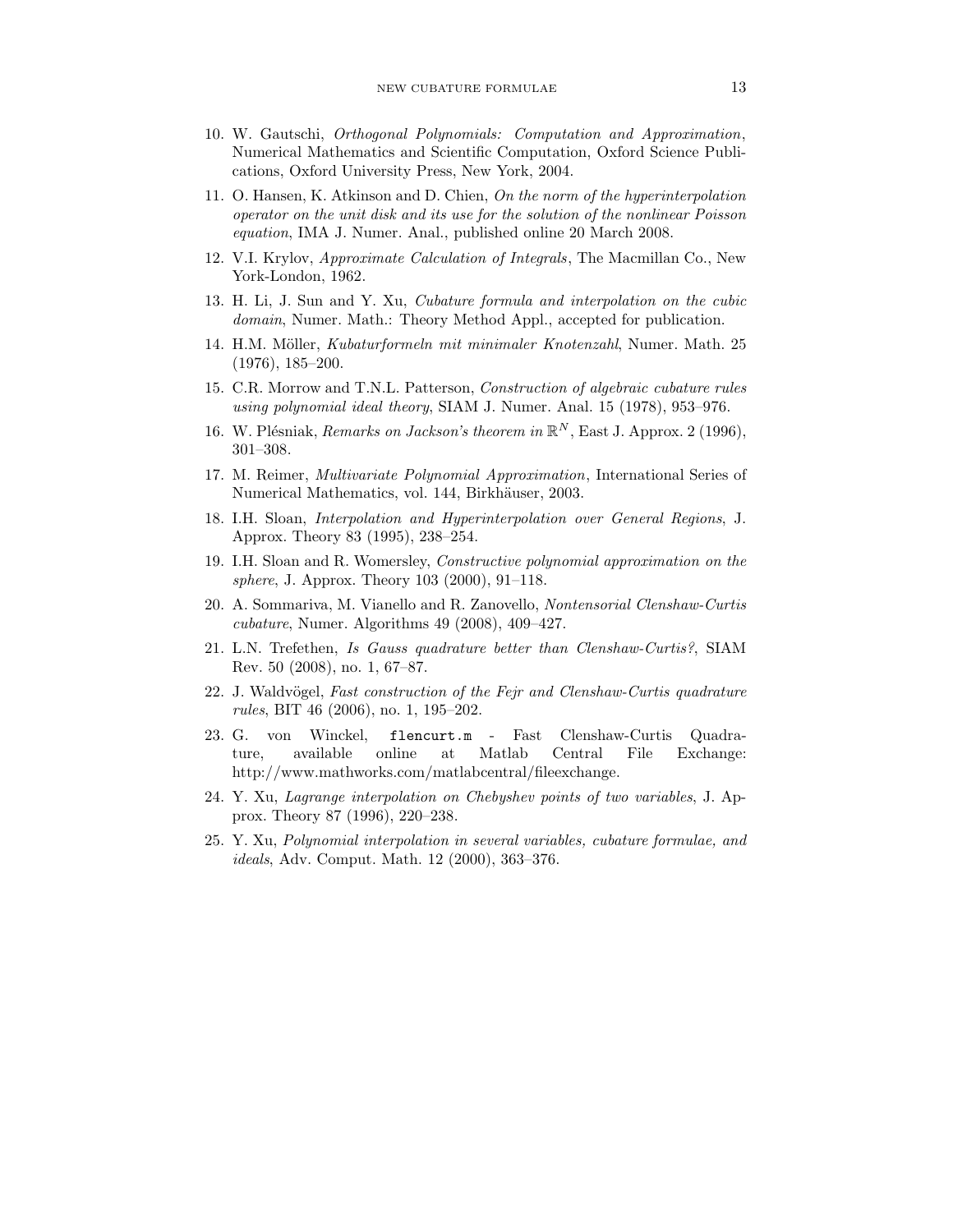- 10. W. Gautschi, Orthogonal Polynomials: Computation and Approximation, Numerical Mathematics and Scientific Computation, Oxford Science Publications, Oxford University Press, New York, 2004.
- 11. O. Hansen, K. Atkinson and D. Chien, On the norm of the hyperinterpolation operator on the unit disk and its use for the solution of the nonlinear Poisson equation, IMA J. Numer. Anal., published online 20 March 2008.
- 12. V.I. Krylov, Approximate Calculation of Integrals, The Macmillan Co., New York-London, 1962.
- 13. H. Li, J. Sun and Y. Xu, Cubature formula and interpolation on the cubic domain, Numer. Math.: Theory Method Appl., accepted for publication.
- 14. H.M. Möller, Kubaturformeln mit minimaler Knotenzahl, Numer. Math. 25 (1976), 185–200.
- 15. C.R. Morrow and T.N.L. Patterson, Construction of algebraic cubature rules using polynomial ideal theory, SIAM J. Numer. Anal. 15 (1978), 953–976.
- 16. W. Plésniak, Remarks on Jackson's theorem in  $\mathbb{R}^N$ , East J. Approx. 2 (1996), 301–308.
- 17. M. Reimer, Multivariate Polynomial Approximation, International Series of Numerical Mathematics, vol. 144, Birkhäuser, 2003.
- 18. I.H. Sloan, Interpolation and Hyperinterpolation over General Regions, J. Approx. Theory 83 (1995), 238–254.
- 19. I.H. Sloan and R. Womersley, Constructive polynomial approximation on the sphere, J. Approx. Theory 103 (2000), 91–118.
- 20. A. Sommariva, M. Vianello and R. Zanovello, Nontensorial Clenshaw-Curtis cubature, Numer. Algorithms 49 (2008), 409–427.
- 21. L.N. Trefethen, Is Gauss quadrature better than Clenshaw-Curtis?, SIAM Rev. 50 (2008), no. 1, 67–87.
- 22. J. Waldvögel, Fast construction of the Fejr and Clenshaw-Curtis quadrature rules, BIT 46 (2006), no. 1, 195–202.
- 23. G. von Winckel, flencurt.m Fast Clenshaw-Curtis Quadrature, available online at Matlab Central File Exchange: http://www.mathworks.com/matlabcentral/fileexchange.
- 24. Y. Xu, Lagrange interpolation on Chebyshev points of two variables, J. Approx. Theory 87 (1996), 220–238.
- 25. Y. Xu, Polynomial interpolation in several variables, cubature formulae, and ideals, Adv. Comput. Math. 12 (2000), 363–376.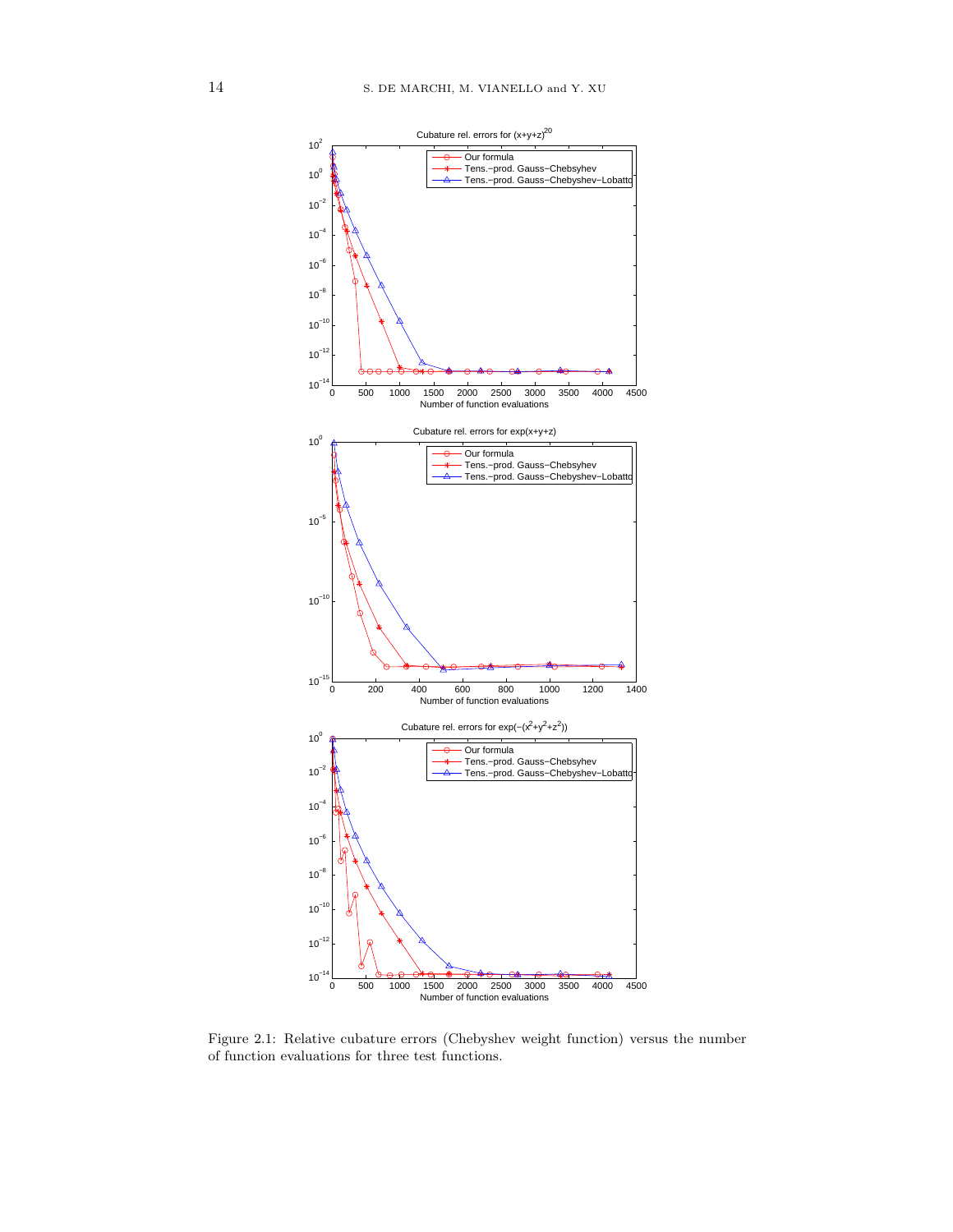

Figure 2.1: Relative cubature errors (Chebyshev weight function) versus the number of function evaluations for three test functions.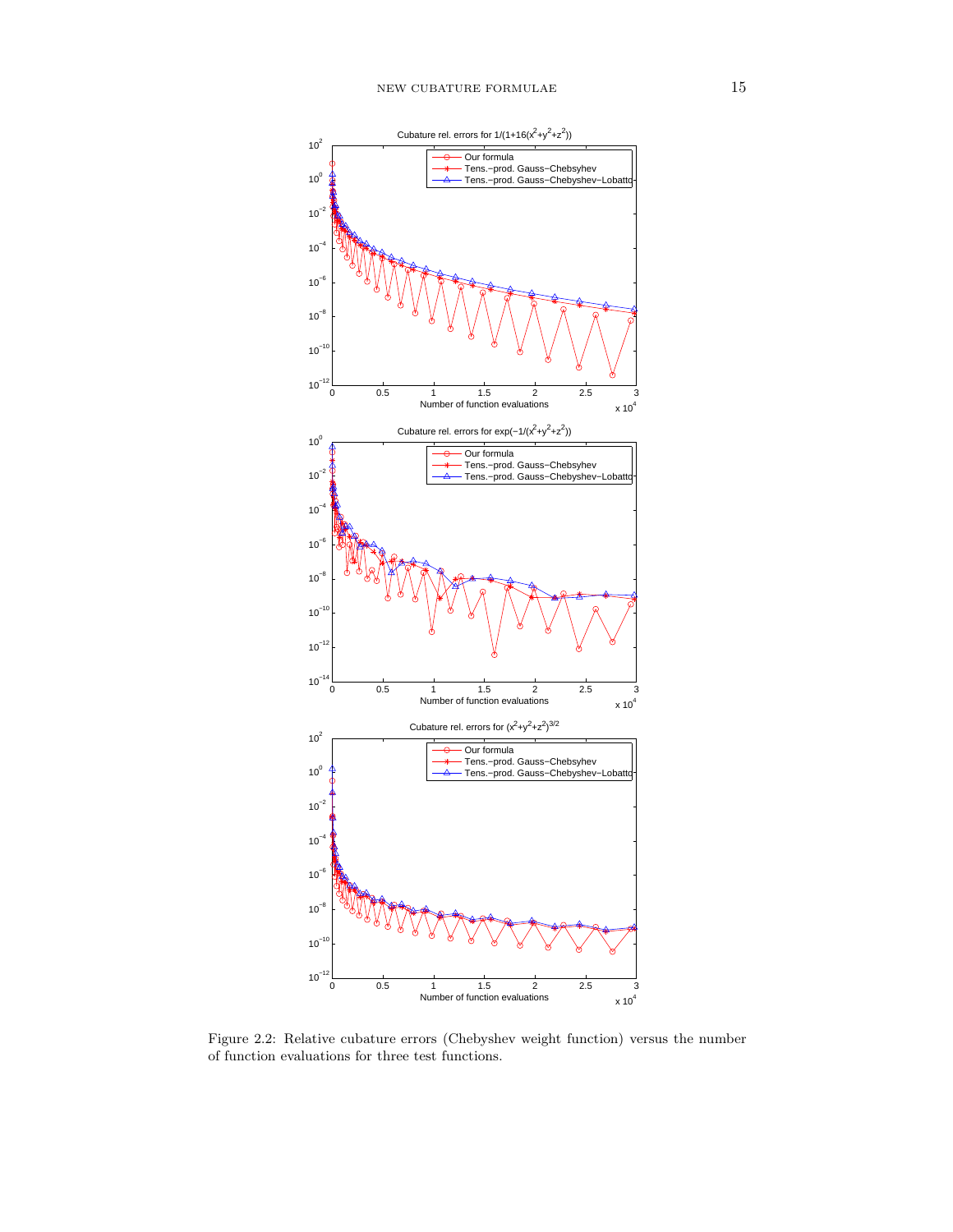

Figure 2.2: Relative cubature errors (Chebyshev weight function) versus the number of function evaluations for three test functions.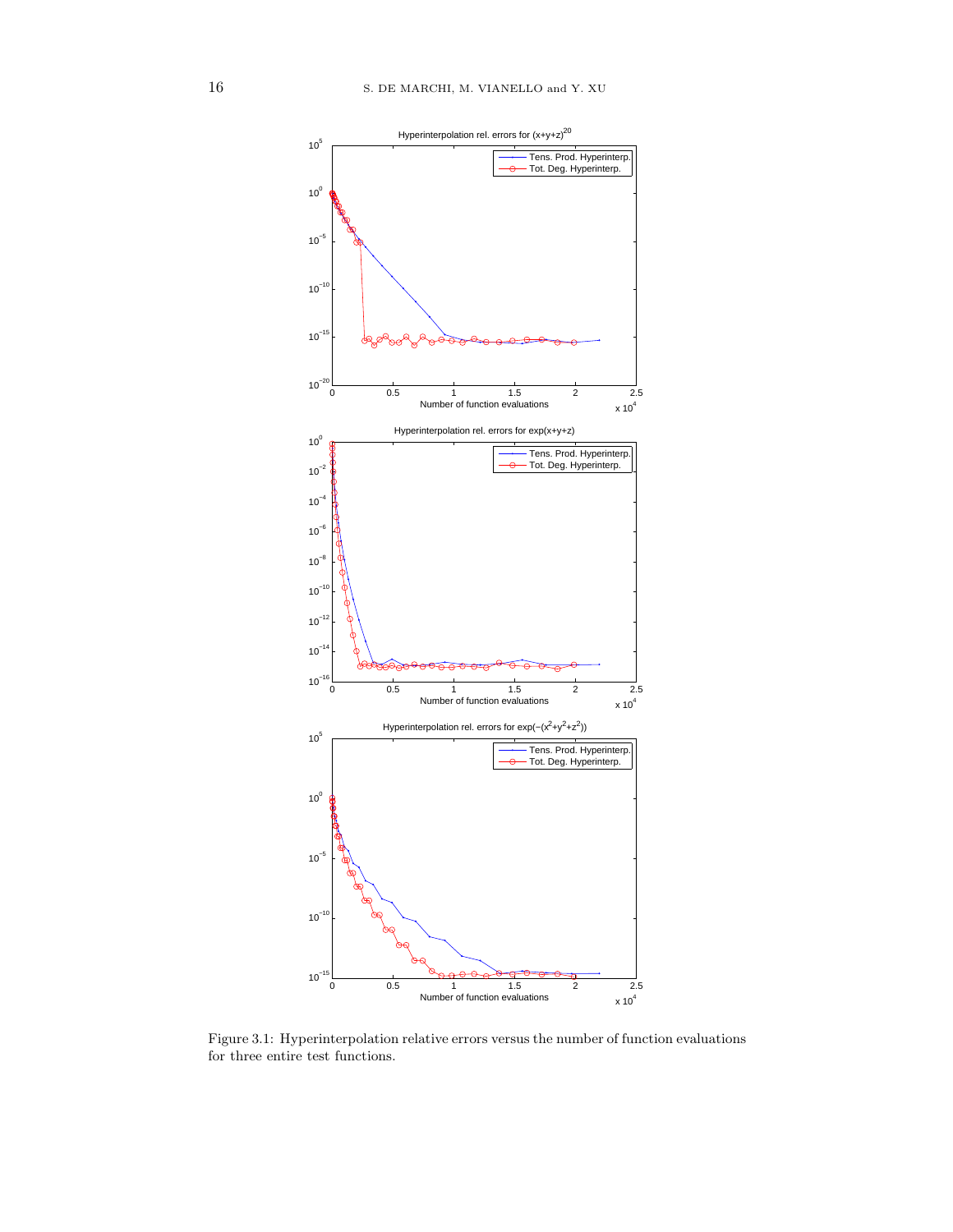

Figure 3.1: Hyperinterpolation relative errors versus the number of function evaluations for three entire test functions.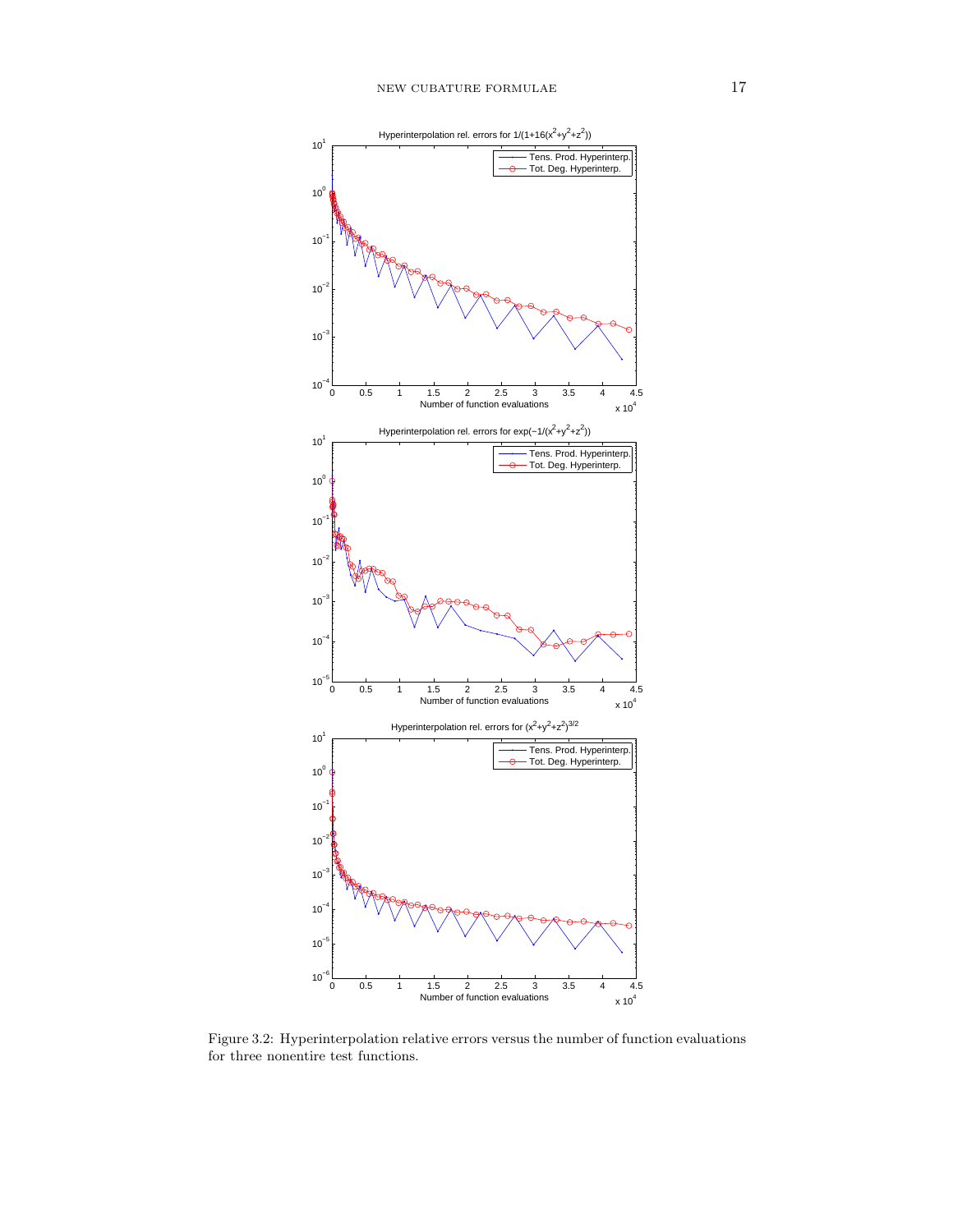

Figure 3.2: Hyperinterpolation relative errors versus the number of function evaluations for three nonentire test functions.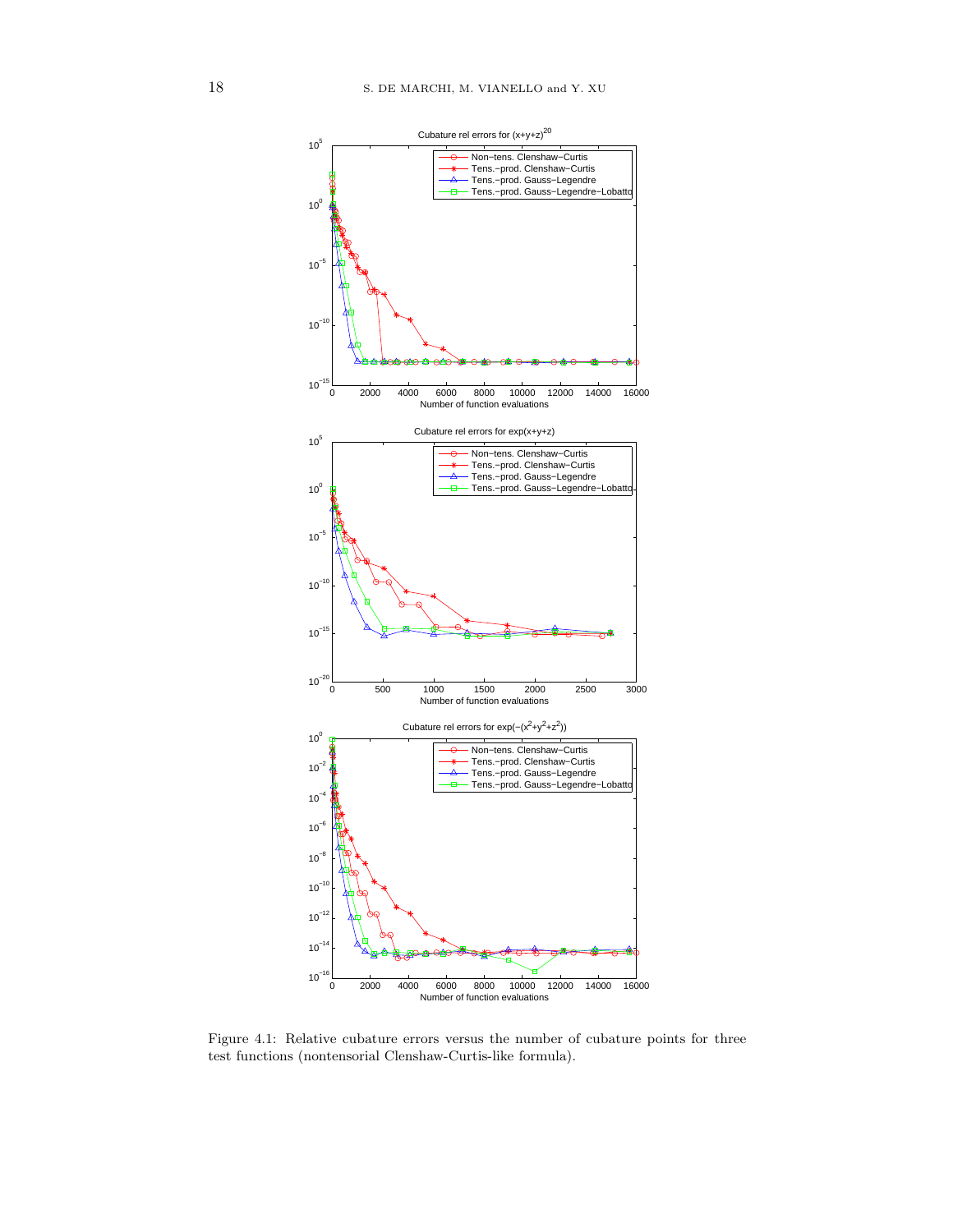

Figure 4.1: Relative cubature errors versus the number of cubature points for three test functions (nontensorial Clenshaw-Curtis-like formula).